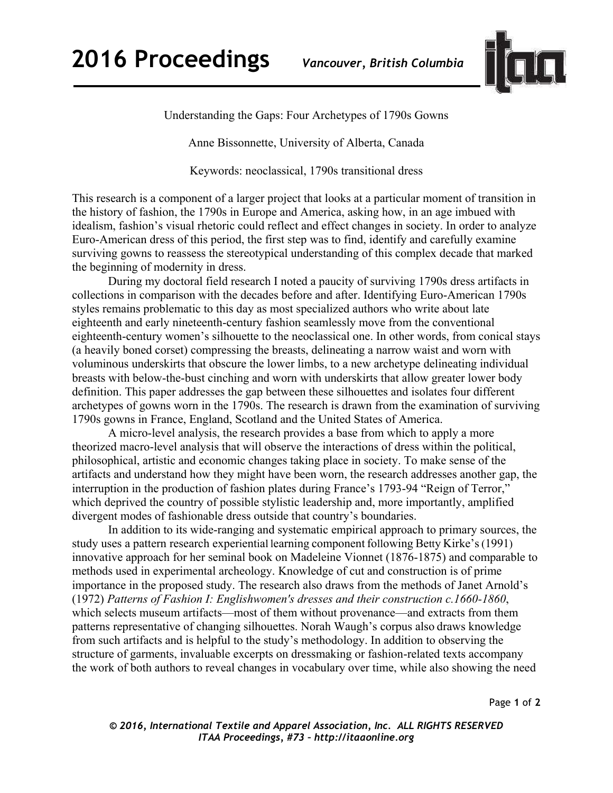

Understanding the Gaps: Four Archetypes of 1790s Gowns

Anne Bissonnette, University of Alberta, Canada

Keywords: neoclassical, 1790s transitional dress

This research is a component of a larger project that looks at a particular moment of transition in the history of fashion, the 1790s in Europe and America, asking how, in an age imbued with idealism, fashion's visual rhetoric could reflect and effect changes in society. In order to analyze Euro-American dress of this period, the first step was to find, identify and carefully examine surviving gowns to reassess the stereotypical understanding of this complex decade that marked the beginning of modernity in dress.

During my doctoral field research I noted a paucity of surviving 1790s dress artifacts in collections in comparison with the decades before and after. Identifying Euro-American 1790s styles remains problematic to this day as most specialized authors who write about late eighteenth and early nineteenth-century fashion seamlessly move from the conventional eighteenth-century women's silhouette to the neoclassical one. In other words, from conical stays (a heavily boned corset) compressing the breasts, delineating a narrow waist and worn with voluminous underskirts that obscure the lower limbs, to a new archetype delineating individual breasts with below-the-bust cinching and worn with underskirts that allow greater lower body definition. This paper addresses the gap between these silhouettes and isolates four different archetypes of gowns worn in the 1790s. The research is drawn from the examination of surviving 1790s gowns in France, England, Scotland and the United States of America.

 A micro-level analysis, the research provides a base from which to apply a more theorized macro-level analysis that will observe the interactions of dress within the political, philosophical, artistic and economic changes taking place in society. To make sense of the artifacts and understand how they might have been worn, the research addresses another gap, the interruption in the production of fashion plates during France's 1793-94 "Reign of Terror," which deprived the country of possible stylistic leadership and, more importantly, amplified divergent modes of fashionable dress outside that country's boundaries.

In addition to its wide-ranging and systematic empirical approach to primary sources, the study uses a pattern research experiential learning component following Betty Kirke's(1991) innovative approach for her seminal book on Madeleine Vionnet (1876-1875) and comparable to methods used in experimental archeology. Knowledge of cut and construction is of prime importance in the proposed study. The research also draws from the methods of Janet Arnold's (1972) *Patterns of Fashion I: Englishwomen's dresses and their construction c.1660-1860*, which selects museum artifacts—most of them without provenance—and extracts from them patterns representative of changing silhouettes. Norah Waugh's corpus also draws knowledge from such artifacts and is helpful to the study's methodology. In addition to observing the structure of garments, invaluable excerpts on dressmaking or fashion-related texts accompany the work of both authors to reveal changes in vocabulary over time, while also showing the need

Page **1** of **2** 

*© 2016, International Textile and Apparel Association, Inc. ALL RIGHTS RESERVED ITAA Proceedings, #73 – http://itaaonline.org*